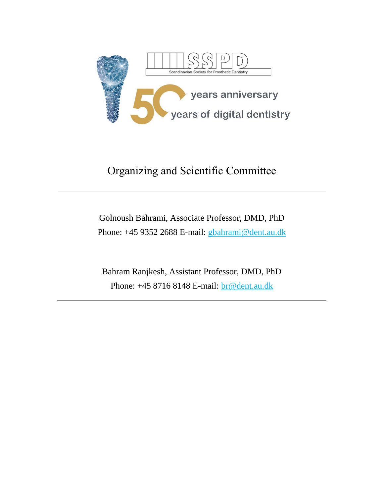

# Organizing and Scientific Committee

## Golnoush Bahrami, Associate Professor, DMD, PhD Phone: +45 9352 2688 E-mail: [gbahrami@dent.au.dk](mailto:gbahrami@dent.au.dk)

Bahram Ranjkesh, Assistant Professor, DMD, PhD Phone: +45 8716 8148 E-mail: **br@dent.au.dk**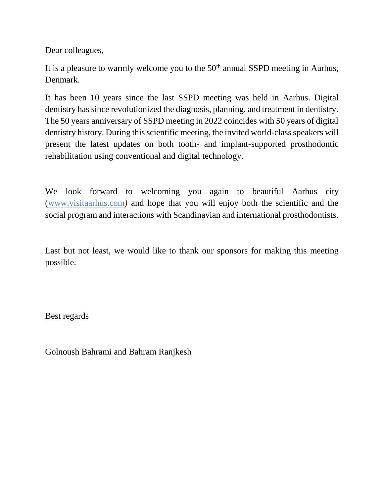Dear colleagues,

It is a pleasure to warmly welcome you to the  $50<sup>th</sup>$  annual SSPD meeting in Aarhus, Denmark.

It has been 10 years since the last SSPD meeting was held in Aarhus. Digital dentistry has since revolutionized the diagnosis, planning, and treatment in dentistry. The 50 years anniversary of SSPD meeting in 2022 coincides with 50 years of digital dentistry history. During this scientific meeting, the invited world-class speakers will present the latest updates on both tooth- and implant-supported prosthodontic rehabilitation using conventional and digital technology.

We look forward to welcoming you again to beautiful Aarhus city [\(www.visitaarhus.com](http://www.visitaarhus.com/)*)* and hope that you will enjoy both the scientific and the social program and interactions with Scandinavian and international prosthodontists.

Last but not least, we would like to thank our sponsors for making this meeting possible.

Best regards

Golnoush Bahrami and Bahram Ranjkesh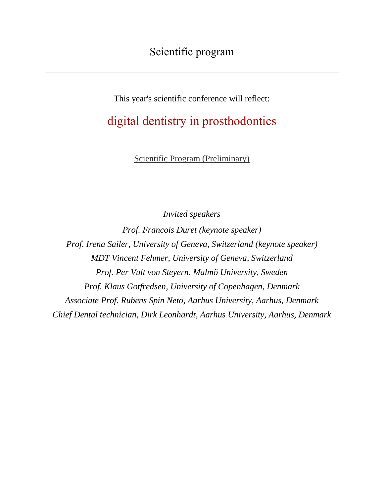This year's scientific conference will reflect:

# digital dentistry in prosthodontics

[Scientific Program \(Preliminary\)](http://www.sspd.no/docs/scientific_programme_-_preliminary.pdf)

*Invited speakers* 

*Prof. Francois Duret (keynote speaker) Prof. Irena Sailer, University of Geneva, Switzerland (keynote speaker) MDT Vincent Fehmer, University of Geneva, Switzerland Prof. Per Vult von Steyern, Malmö University, Sweden Prof. Klaus Gotfredsen, University of Copenhagen, Denmark Associate Prof. Rubens Spin Neto, Aarhus University, Aarhus, Denmark Chief Dental technician, Dirk Leonhardt, Aarhus University, Aarhus, Denmark*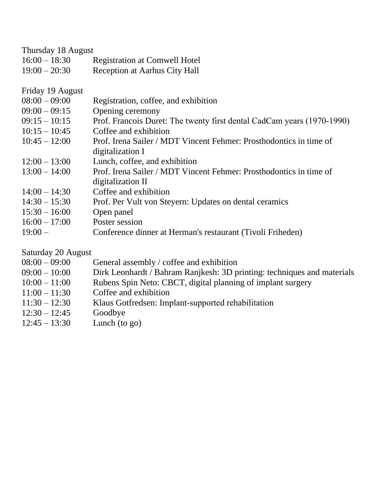#### Thursday 18 August

| $16:00 - 18:30$ | <b>Registration at Comwell Hotel</b> |
|-----------------|--------------------------------------|
| $19:00 - 20:30$ | Reception at Aarhus City Hall        |

Friday 19 August

- 09:00 09:15 Opening ceremony
- $09:15 10:15$ Prof. Francois Duret: The twenty first dental CadCam years (1970-1990)
- $10:15 10:45$ Coffee and exhibition
- $10:45 12:00$ Prof. Irena Sailer / MDT Vincent Fehmer: Prosthodontics in time of digitalization I
- $12:00 13:00$ Lunch, coffee, and exhibition
- 13:00 14:00 Prof. Irena Sailer / MDT Vincent Fehmer: Prosthodontics in time of digitalization II
- $14:00 14:30$ Coffee and exhibition
- $14:30 15:30$ Prof. Per Vult von Steyern: Updates on dental ceramics
- $15:30 16:00$ Open panel
- $16:00 17:00$ Poster session
- $19:00 -$ Conference dinner at Herman's restaurant (Tivoli Friheden)

#### Saturday 20 August

| $08:00 - 09:00$ | General assembly / coffee and exhibition                                |
|-----------------|-------------------------------------------------------------------------|
| $09:00 - 10:00$ | Dirk Leonhardt / Bahram Ranjkesh: 3D printing: techniques and materials |
| $10:00 - 11:00$ | Rubens Spin Neto: CBCT, digital planning of implant surgery             |
| $11:00 - 11:30$ | Coffee and exhibition                                                   |
| $11:30 - 12:30$ | Klaus Gotfredsen: Implant-supported rehabilitation                      |
| $12:30 - 12:45$ | Goodbye                                                                 |
| $12:45 - 13:30$ | Lunch (to $go)$                                                         |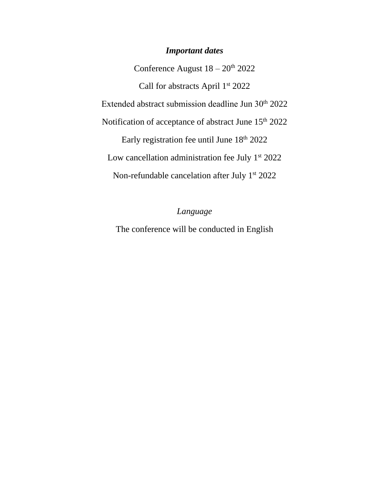### *Important dates*

Conference August  $18 - 20$ <sup>th</sup> 2022 Call for abstracts April 1<sup>st</sup> 2022 Extended abstract submission deadline Jun 30<sup>th</sup> 2022 Notification of acceptance of abstract June 15<sup>th</sup> 2022 Early registration fee until June 18th 2022 Low cancellation administration fee July  $1<sup>st</sup> 2022$ Non-refundable cancelation after July 1<sup>st</sup> 2022

### *Language*

The conference will be conducted in English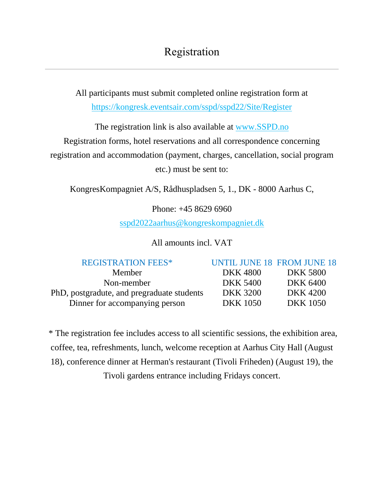All participants must submit completed online registration form at <https://kongresk.eventsair.com/sspd/sspd22/Site/Register>

The registration link is also available at [www.SSPD.no](http://www.sspd.no/)

Registration forms, hotel reservations and all correspondence concerning

registration and accommodation (payment, charges, cancellation, social program

etc.) must be sent to:

KongresKompagniet A/S, Rådhuspladsen 5, 1., DK - 8000 Aarhus C,

Phone: +45 8629 6960

[sspd2022aarhus@kongreskompagniet.dk](mailto:sspd2022aarhus@kongreskompagniet.dk)

All amounts incl. VAT

PhD, postgradute, and pregraduate students DKK 3200 DKK 4200 Dinner for accompanying person DKK 1050 DKK 1050

REGISTRATION FEES\* UNTIL JUNE 18 FROM JUNE 18

Member DKK 4800 DKK 5800 Non-member DKK 5400 DKK 6400

\* The registration fee includes access to all scientific sessions, the exhibition area, coffee, tea, refreshments, lunch, welcome reception at Aarhus City Hall (August 18), conference dinner at Herman's restaurant (Tivoli Friheden) (August 19), the Tivoli gardens entrance including Fridays concert.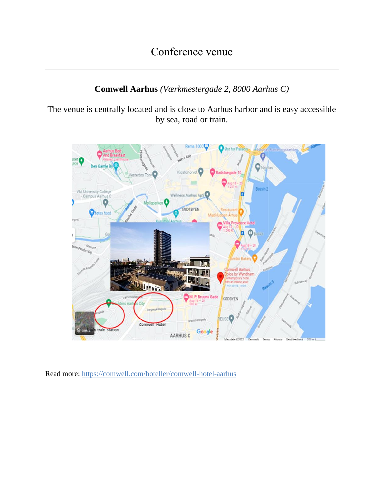### **Comwell Aarhus** *(Værkmestergade 2, 8000 Aarhus C)*

The venue is centrally located and is close to Aarhus harbor and is easy accessible by sea, road or train.



Read more:<https://comwell.com/hoteller/comwell-hotel-aarhus>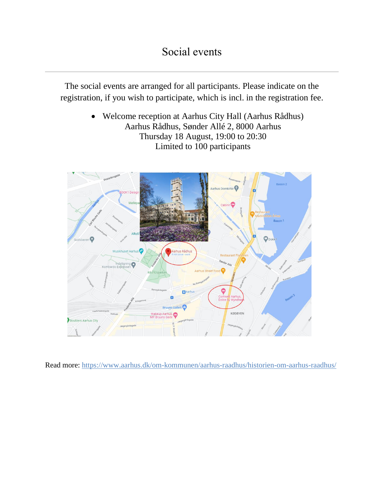## Social events

The social events are arranged for all participants. Please indicate on the registration, if you wish to participate, which is incl. in the registration fee.

> Welcome reception at Aarhus City Hall (Aarhus Rådhus) Aarhus Rådhus, Sønder Allé 2, 8000 Aarhus Thursday 18 August, 19:00 to 20:30 Limited to 100 participants



Read more:<https://www.aarhus.dk/om-kommunen/aarhus-raadhus/historien-om-aarhus-raadhus/>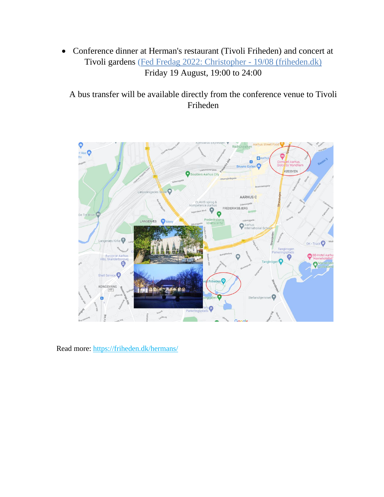Conference dinner at Herman's restaurant (Tivoli Friheden) and concert at Tivoli gardens [\(Fed Fredag 2022: Christopher -](https://friheden.dk/det-sker/fed-fredag-2022-christopher-1908/) 19/08 (friheden.dk) Friday 19 August, 19:00 to 24:00

A bus transfer will be available directly from the conference venue to Tivoli Friheden



Read more:<https://friheden.dk/hermans/>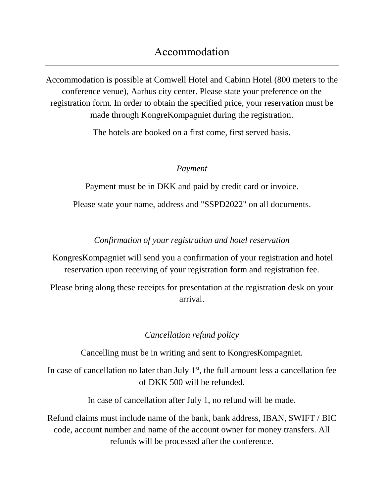## Accommodation

Accommodation is possible at Comwell Hotel and Cabinn Hotel (800 meters to the conference venue), Aarhus city center. Please state your preference on the registration form. In order to obtain the specified price, your reservation must be made through KongreKompagniet during the registration.

The hotels are booked on a first come, first served basis.

### *Payment*

Payment must be in DKK and paid by credit card or invoice.

Please state your name, address and "SSPD2022" on all documents.

### *Confirmation of your registration and hotel reservation*

KongresKompagniet will send you a confirmation of your registration and hotel reservation upon receiving of your registration form and registration fee.

Please bring along these receipts for presentation at the registration desk on your arrival.

### *Cancellation refund policy*

Cancelling must be in writing and sent to KongresKompagniet.

In case of cancellation no later than July  $1<sup>st</sup>$ , the full amount less a cancellation fee of DKK 500 will be refunded.

In case of cancellation after July 1, no refund will be made.

Refund claims must include name of the bank, bank address, IBAN, SWIFT / BIC code, account number and name of the account owner for money transfers. All refunds will be processed after the conference.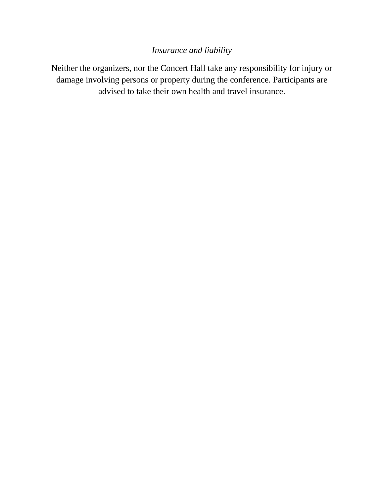### *Insurance and liability*

Neither the organizers, nor the Concert Hall take any responsibility for injury or damage involving persons or property during the conference. Participants are advised to take their own health and travel insurance.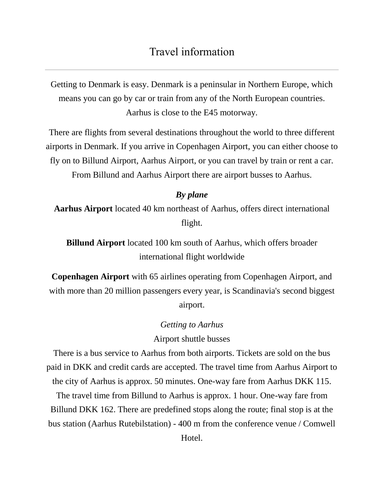## Travel information

Getting to Denmark is easy. Denmark is a peninsular in Northern Europe, which means you can go by car or train from any of the North European countries. Aarhus is close to the E45 motorway.

There are flights from several destinations throughout the world to three different airports in Denmark. If you arrive in Copenhagen Airport, you can either choose to fly on to Billund Airport, Aarhus Airport, or you can travel by train or rent a car. From Billund and Aarhus Airport there are airport busses to Aarhus.

### *By plane*

**Aarhus Airport** located 40 km northeast of Aarhus, offers direct international flight.

**Billund Airport** located 100 km south of Aarhus, which offers broader international flight worldwide

**Copenhagen Airport** with 65 airlines operating from Copenhagen Airport, and with more than 20 million passengers every year, is Scandinavia's second biggest airport.

#### *Getting to Aarhus*

Airport shuttle busses

There is a bus service to Aarhus from both airports. Tickets are sold on the bus paid in DKK and credit cards are accepted. The travel time from Aarhus Airport to the city of Aarhus is approx. 50 minutes. One-way fare from Aarhus DKK 115.

The travel time from Billund to Aarhus is approx. 1 hour. One-way fare from Billund DKK 162. There are predefined stops along the route; final stop is at the bus station (Aarhus Rutebilstation) - 400 m from the conference venue / Comwell Hotel.